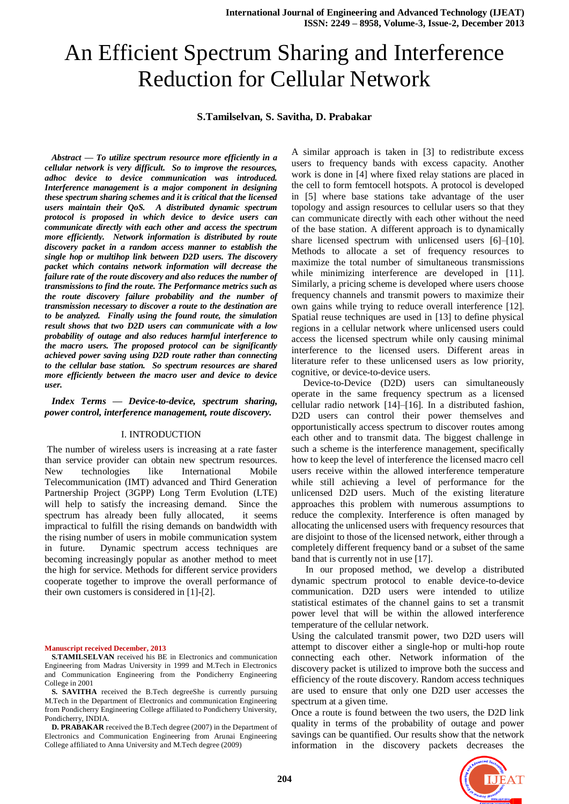# An Efficient Spectrum Sharing and Interference Reduction for Cellular Network

# **S.Tamilselvan, S. Savitha, D. Prabakar**

*Abstract — To utilize spectrum resource more efficiently in a cellular network is very difficult. So to improve the resources, adhoc device to device communication was introduced. Interference management is a major component in designing these spectrum sharing schemes and it is critical that the licensed users maintain their QoS. A distributed dynamic spectrum protocol is proposed in which device to device users can communicate directly with each other and access the spectrum more efficiently. Network information is distributed by route discovery packet in a random access manner to establish the single hop or multihop link between D2D users. The discovery packet which contains network information will decrease the failure rate of the route discovery and also reduces the number of transmissions to find the route. The Performance metrics such as the route discovery failure probability and the number of transmission necessary to discover a route to the destination are to be analyzed. Finally using the found route, the simulation result shows that two D2D users can communicate with a low probability of outage and also reduces harmful interference to the macro users. The proposed protocol can be significantly achieved power saving using D2D route rather than connecting to the cellular base station. So spectrum resources are shared more efficiently between the macro user and device to device user.*

*Index Terms — Device-to-device, spectrum sharing, power control, interference management, route discovery.*

#### I. INTRODUCTION

The number of wireless users is increasing at a rate faster than service provider can obtain new spectrum resources. New technologies like International Mobile Telecommunication (IMT) advanced and Third Generation Partnership Project (3GPP) Long Term Evolution (LTE) will help to satisfy the increasing demand. Since the spectrum has already been fully allocated, it seems impractical to fulfill the rising demands on bandwidth with the rising number of users in mobile communication system in future. Dynamic spectrum access techniques are becoming increasingly popular as another method to meet the high for service. Methods for different service providers cooperate together to improve the overall performance of their own customers is considered in [1]-[2].

#### **Manuscript received December, 2013**

**S.TAMILSELVAN** received his BE in Electronics and communication Engineering from Madras University in 1999 and M.Tech in Electronics and Communication Engineering from the Pondicherry Engineering College in 2001

**S. SAVITHA** received the B.Tech degreeShe is currently pursuing M.Tech in the Department of Electronics and communication Engineering from Pondicherry Engineering College affiliated to Pondicherry University, Pondicherry, INDIA.

**D. PRABAKAR** received the B.Tech degree (2007) in the Department of Electronics and Communication Engineering from Arunai Engineering College affiliated to Anna University and M.Tech degree (2009)

A similar approach is taken in [3] to redistribute excess users to frequency bands with excess capacity. Another work is done in [4] where fixed relay stations are placed in the cell to form femtocell hotspots. A protocol is developed in [5] where base stations take advantage of the user topology and assign resources to cellular users so that they can communicate directly with each other without the need of the base station. A different approach is to dynamically share licensed spectrum with unlicensed users [6]–[10]. Methods to allocate a set of frequency resources to maximize the total number of simultaneous transmissions while minimizing interference are developed in [11]. Similarly, a pricing scheme is developed where users choose frequency channels and transmit powers to maximize their own gains while trying to reduce overall interference [12]. Spatial reuse techniques are used in [13] to define physical regions in a cellular network where unlicensed users could access the licensed spectrum while only causing minimal interference to the licensed users. Different areas in literature refer to these unlicensed users as low priority, cognitive, or device-to-device users.

 Device-to-Device (D2D) users can simultaneously operate in the same frequency spectrum as a licensed cellular radio network [14]–[16]. In a distributed fashion, D2D users can control their power themselves and opportunistically access spectrum to discover routes among each other and to transmit data. The biggest challenge in such a scheme is the interference management, specifically how to keep the level of interference the licensed macro cell users receive within the allowed interference temperature while still achieving a level of performance for the unlicensed D2D users. Much of the existing literature approaches this problem with numerous assumptions to reduce the complexity. Interference is often managed by allocating the unlicensed users with frequency resources that are disjoint to those of the licensed network, either through a completely different frequency band or a subset of the same band that is currently not in use [17].

 In our proposed method, we develop a distributed dynamic spectrum protocol to enable device-to-device communication. D2D users were intended to utilize statistical estimates of the channel gains to set a transmit power level that will be within the allowed interference temperature of the cellular network.

Using the calculated transmit power, two D2D users will attempt to discover either a single-hop or multi-hop route connecting each other. Network information of the discovery packet is utilized to improve both the success and efficiency of the route discovery. Random access techniques are used to ensure that only one D2D user accesses the spectrum at a given time.

Once a route is found between the two users, the D2D link quality in terms of the probability of outage and power savings can be quantified. Our results show that the network information in the discovery packets decreases the

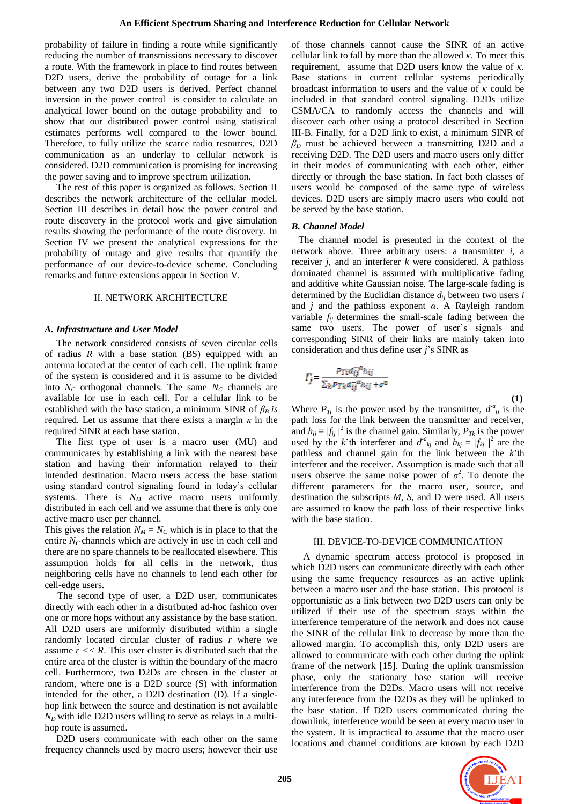probability of failure in finding a route while significantly reducing the number of transmissions necessary to discover a route. With the framework in place to find routes between D2D users, derive the probability of outage for a link between any two D2D users is derived. Perfect channel inversion in the power control is consider to calculate an analytical lower bound on the outage probability and to show that our distributed power control using statistical estimates performs well compared to the lower bound. Therefore, to fully utilize the scarce radio resources, D2D communication as an underlay to cellular network is considered. D2D communication is promising for increasing the power saving and to improve spectrum utilization.

 The rest of this paper is organized as follows. Section II describes the network architecture of the cellular model. Section III describes in detail how the power control and route discovery in the protocol work and give simulation results showing the performance of the route discovery. In Section IV we present the analytical expressions for the probability of outage and give results that quantify the performance of our device-to-device scheme. Concluding remarks and future extensions appear in Section V.

# II. NETWORK ARCHITECTURE

## *A. Infrastructure and User Model*

 The network considered consists of seven circular cells of radius *R* with a base station (BS) equipped with an antenna located at the center of each cell. The uplink frame of the system is considered and it is assume to be divided into  $N_c$  orthogonal channels. The same  $N_c$  channels are available for use in each cell. For a cellular link to be established with the base station, a minimum SINR of  $\beta_B$  *is* required. Let us assume that there exists a margin *κ* in the required SINR at each base station.

 The first type of user is a macro user (MU) and communicates by establishing a link with the nearest base station and having their information relayed to their intended destination. Macro users access the base station using standard control signaling found in today's cellular systems. There is  $N_M$  active macro users uniformly distributed in each cell and we assume that there is only one active macro user per channel.

This gives the relation  $N_M = N_C$  which is in place to that the entire  $N_C$  channels which are actively in use in each cell and there are no spare channels to be reallocated elsewhere. This assumption holds for all cells in the network, thus neighboring cells have no channels to lend each other for cell-edge users.

The second type of user, a D2D user, communicates directly with each other in a distributed ad-hoc fashion over one or more hops without any assistance by the base station. All D2D users are uniformly distributed within a single randomly located circular cluster of radius *r* where we assume  $r \ll R$ . This user cluster is distributed such that the entire area of the cluster is within the boundary of the macro cell. Furthermore, two D2Ds are chosen in the cluster at random, where one is a D2D source (S) with information intended for the other, a D2D destination (D). If a singlehop link between the source and destination is not available  $N_D$  with idle D2D users willing to serve as relays in a multihop route is assumed.

 D2D users communicate with each other on the same frequency channels used by macro users; however their use

of those channels cannot cause the SINR of an active cellular link to fall by more than the allowed *κ*. To meet this requirement, assume that D2D users know the value of *κ*. Base stations in current cellular systems periodically broadcast information to users and the value of *κ* could be included in that standard control signaling. D2Ds utilize CSMA/CA to randomly access the channels and will discover each other using a protocol described in Section III-B. Finally, for a D2D link to exist, a minimum SINR of  $\beta_D$  must be achieved between a transmitting D2D and a receiving D2D. The D2D users and macro users only differ in their modes of communicating with each other, either directly or through the base station. In fact both classes of users would be composed of the same type of wireless devices. D2D users are simply macro users who could not be served by the base station.

## *B. Channel Model*

 The channel model is presented in the context of the network above. Three arbitrary users: a transmitter *i*, a receiver *j*, and an interferer *k* were considered. A pathloss dominated channel is assumed with multiplicative fading and additive white Gaussian noise. The large-scale fading is determined by the Euclidian distance *dij* between two users *i*  and *j* and the pathloss exponent *α*. A Rayleigh random variable *fij* determines the small-scale fading between the same two users. The power of user's signals and corresponding SINR of their links are mainly taken into consideration and thus define user *j*'s SINR as

$$
\Gamma_j = \frac{P_{Ti} d_{ij}^{-\alpha} h_{ij}}{\sum_k P_{TR} d_{ij}^{-\alpha} h_{ij} + \sigma^2}
$$

 **(1)** Where  $P_{T_i}$  is the power used by the transmitter,  $d^a_{ij}$  is the path loss for the link between the transmitter and receiver, and  $h_{ij} = |f_{ij}|^2$  is the channel gain. Similarly,  $P_{Tk}$  is the power used by the *k*'th interferer and  $d^a{}_{kj}$  and  $h_{kj} = |f_{kj}|^2$  are the pathless and channel gain for the link between the *k*'th interferer and the receiver. Assumption is made such that all users observe the same noise power of  $\sigma^2$ . To denote the different parameters for the macro user, source, and destination the subscripts *M*, *S*, and D were used. All users are assumed to know the path loss of their respective links with the base station.

#### III. DEVICE-TO-DEVICE COMMUNICATION

 A dynamic spectrum access protocol is proposed in which D2D users can communicate directly with each other using the same frequency resources as an active uplink between a macro user and the base station. This protocol is opportunistic as a link between two D2D users can only be utilized if their use of the spectrum stays within the interference temperature of the network and does not cause the SINR of the cellular link to decrease by more than the allowed margin. To accomplish this, only D2D users are allowed to communicate with each other during the uplink frame of the network [15]. During the uplink transmission phase, only the stationary base station will receive interference from the D2Ds. Macro users will not receive any interference from the D2Ds as they will be uplinked to the base station. If D2D users communicated during the downlink, interference would be seen at every macro user in the system. It is impractical to assume that the macro user locations and channel conditions are known by each D2D

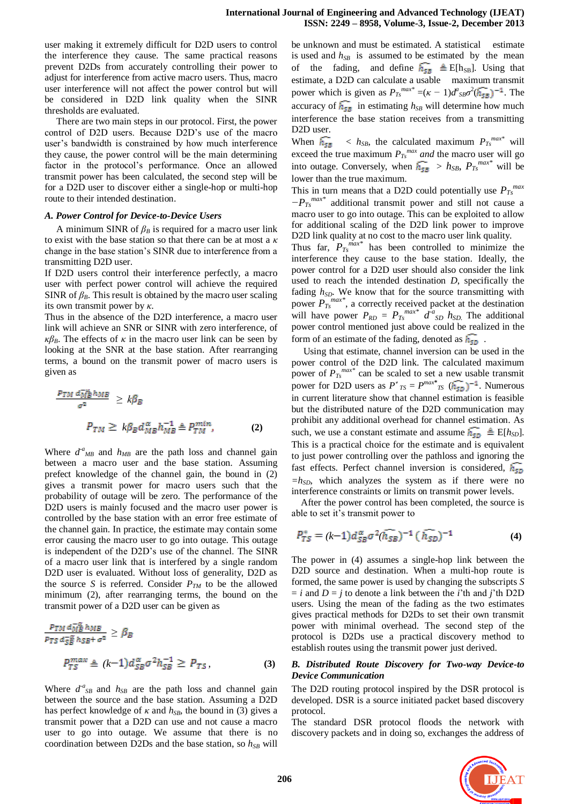user making it extremely difficult for D2D users to control the interference they cause. The same practical reasons prevent D2Ds from accurately controlling their power to adjust for interference from active macro users. Thus, macro user interference will not affect the power control but will be considered in D2D link quality when the SINR thresholds are evaluated.

 There are two main steps in our protocol. First, the power control of D2D users. Because D2D's use of the macro user's bandwidth is constrained by how much interference they cause, the power control will be the main determining factor in the protocol's performance. Once an allowed transmit power has been calculated, the second step will be for a D2D user to discover either a single-hop or multi-hop route to their intended destination.

# *A. Power Control for Device-to-Device Users*

A minimum SINR of  $\beta_B$  is required for a macro user link to exist with the base station so that there can be at most a *κ*  change in the base station's SINR due to interference from a transmitting D2D user.

If D2D users control their interference perfectly, a macro user with perfect power control will achieve the required SINR of  $\beta_B$ . This result is obtained by the macro user scaling its own transmit power by *κ*.

Thus in the absence of the D2D interference, a macro user link will achieve an SNR or SINR with zero interference, of *κβ*<sub>*B*</sub>. The effects of *κ* in the macro user link can be seen by looking at the SNR at the base station. After rearranging terms, a bound on the transmit power of macro users is given as

$$
\frac{p_{TM} d_M^{\pi_B h_{MB}}}{\sigma^2} \ge k\beta_B
$$
\n
$$
P_{TM} \ge k\beta_B d_{MB}^{\pi} h_{MB}^{-1} \triangleq P_{TM}^{min},
$$
\n(2)

Where  $d^a{}_{MB}$  and  $h_{MB}$  are the path loss and channel gain between a macro user and the base station. Assuming prefect knowledge of the channel gain, the bound in (2) gives a transmit power for macro users such that the probability of outage will be zero. The performance of the D2D users is mainly focused and the macro user power is controlled by the base station with an error free estimate of the channel gain. In practice, the estimate may contain some error causing the macro user to go into outage. This outage is independent of the D2D's use of the channel. The SINR of a macro user link that is interfered by a single random D2D user is evaluated. Without loss of generality, D2D as the source *S* is referred. Consider  $P_{TM}$  to be the allowed minimum (2), after rearranging terms, the bound on the transmit power of a D2D user can be given as

$$
\frac{p_{TM} a_{MB}^{-\alpha}}{p_{TS} a_{SB}^{-\alpha}} \ge \beta_B
$$
\n
$$
p_{TS}^{max} \triangleq (k-1) d_{SB}^{\alpha} \sigma^2 h_{SB}^{-1} \ge P_{TS},
$$
\n(3)

Where  $d^a{}_{SB}$  and  $h_{SB}$  are the path loss and channel gain between the source and the base station. Assuming a D2D has perfect knowledge of  $\kappa$  and  $h_{SB}$ , the bound in (3) gives a transmit power that a D2D can use and not cause a macro user to go into outage. We assume that there is no coordination between D2Ds and the base station, so *hSB* will

be unknown and must be estimated. A statistical estimate is used and  $h_{SB}$  is assumed to be estimated by the mean of the fading, and define  $\overline{h_{SB}} \triangleq$  E[h<sub>SB</sub>]. Using that estimate, a D2D can calculate a usable maximum transmit power which is given as  $P_{T_s}^{max^*} = (\kappa - 1)d_{SB}^a\sigma^2(\widehat{h_{SB}})^{-1}$ . The accuracy of  $\widehat{h_{\sf SB}}$  in estimating  $h_{SB}$  will determine how much interference the base station receives from a transmitting D2D user.

When  $\widehat{h_{SB}}$  <  $h_{SB}$ , the calculated maximum  $P_{Ts}^{max*}$  will exceed the true maximum  $P_{Ts}^{max}$  *and* the macro user will go into outage. Conversely, when  $\overline{h_{SB}} > h_{SB}$ ,  $P_{Ts}^{max*}$  will be lower than the true maximum.

This in turn means that a D2D could potentially use  $P_{T_s}^{max}$ *−PTs max\** additional transmit power and still not cause a macro user to go into outage. This can be exploited to allow for additional scaling of the D2D link power to improve D2D link quality at no cost to the macro user link quality.

Thus far,  $P_{Ts}^{max*}$  has been controlled to minimize the interference they cause to the base station. Ideally, the power control for a D2D user should also consider the link used to reach the intended destination *D*, specifically the fading  $h_{SD}$ . We know that for the source transmitting with power  $P_{Ts}^{max*}$ , a correctly received packet at the destination will have power  $P_{RD} = P_{Ts}^{max*} d^a_{SD} h_{SD}$ . The additional power control mentioned just above could be realized in the form of an estimate of the fading, denoted as  $\widehat{h_{5D}}$ .

Using that estimate, channel inversion can be used in the power control of the D2D link. The calculated maximum power of  $P_{T_s}^{max*}$  can be scaled to set a new usable transmit power for D2D users as  $P^*_{TS} = P^{max*}_{TS}$   $(\widehat{h_{5D}})^{-1}$ . Numerous in current literature show that channel estimation is feasible but the distributed nature of the D2D communication may prohibit any additional overhead for channel estimation. As such, we use a constant estimate and assume  $\widehat{h_{SD}} \triangleq E[h_{SD}]$ . This is a practical choice for the estimate and is equivalent to just power controlling over the pathloss and ignoring the fast effects. Perfect channel inversion is considered,  $h_{5D}$  $=h<sub>SD</sub>$ , which analyzes the system as if there were no interference constraints or limits on transmit power levels.

 After the power control has been completed, the source is able to set it's transmit power to

$$
P_{TS}^* = (k-1)d_{SB}^{\alpha}\sigma^2(\widehat{h_{SB}})^{-1}(\widehat{h_{SD}})^{-1}
$$
 (4)

The power in (4) assumes a single-hop link between the D<sub>2</sub>D source and destination. When a multi-hop route is formed, the same power is used by changing the subscripts *S*   $=$  *i* and  $D = j$  to denote a link between the *i*'th and *j*'th D2D users. Using the mean of the fading as the two estimates gives practical methods for D2Ds to set their own transmit power with minimal overhead. The second step of the protocol is D2Ds use a practical discovery method to establish routes using the transmit power just derived.

# *B. Distributed Route Discovery for Two-way Device-to Device Communication*

The D2D routing protocol inspired by the DSR protocol is developed. DSR is a source initiated packet based discovery protocol.

The standard DSR protocol floods the network with discovery packets and in doing so, exchanges the address of

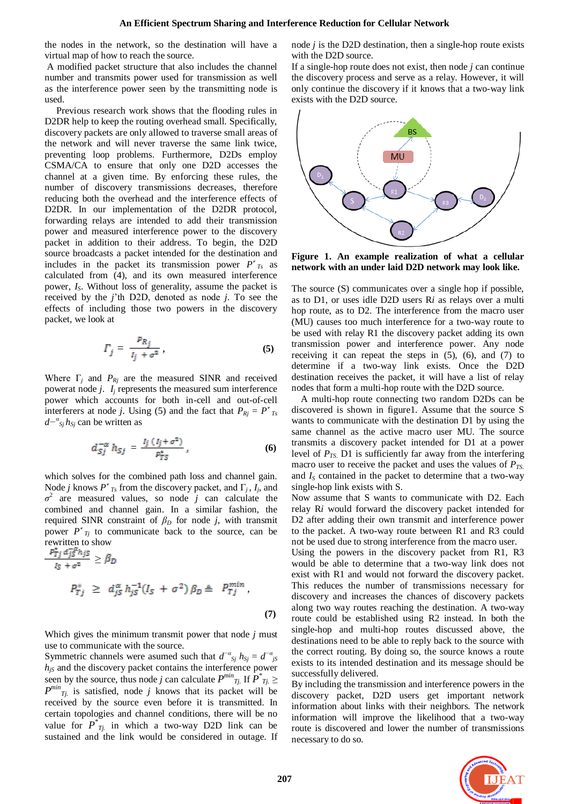the nodes in the network, so the destination will have a virtual map of how to reach the source.

A modified packet structure that also includes the channel number and transmits power used for transmission as well as the interference power seen by the transmitting node is used.

 Previous research work shows that the flooding rules in D2DR help to keep the routing overhead small. Specifically, discovery packets are only allowed to traverse small areas of the network and will never traverse the same link twice, preventing loop problems. Furthermore, D2Ds employ CSMA/CA to ensure that only one D2D accesses the channel at a given time. By enforcing these rules, the number of discovery transmissions decreases, therefore reducing both the overhead and the interference effects of D2DR. In our implementation of the D2DR protocol, forwarding relays are intended to add their transmission power and measured interference power to the discovery packet in addition to their address. To begin, the D2D source broadcasts a packet intended for the destination and includes in the packet its transmission power  $P^*_{T_s}$  as calculated from (4), and its own measured interference power, *IS*. Without loss of generality, assume the packet is received by the *j*'th D2D, denoted as node *j*. To see the effects of including those two powers in the discovery packet, we look at

$$
\Gamma_j = \frac{P_{R_j}}{I_j + \sigma^2},\tag{5}
$$

Where  $\Gamma_j$  and  $P_{Rj}$  are the measured SINR and received powerat node *j*. *I<sup>j</sup>* represents the measured sum interference power which accounts for both in-cell and out-of-cell interferers at node *j*. Using (5) and the fact that  $P_{Rj} = P^*_{Ts}$ *d− α Sj hSj* can be written as

$$
d_{Sj}^{-\alpha} h_{Sj} = \frac{I_j (I_j + \sigma^2)}{p_{TS}^*}, \qquad (6)
$$

which solves for the combined path loss and channel gain. Node *j* knows  $P^*_{Ts}$  from the discovery packet, and  $\Gamma_j$ ,  $I_j$ , and  $\sigma^2$  are measured values, so node *j* can calculate the combined and channel gain. In a similar fashion, the required SINR constraint of  $β<sub>D</sub>$  for node *j*, with transmit power  $P^*_{Tj}$  to communicate back to the source, can be rewritten to show

$$
\frac{P_{Tj} d_j s^* h_j s}{l_S + \sigma^2} \ge \beta_D
$$
\n
$$
P_{Tj}^* \ge d_{jS}^{\alpha} h_{jS}^{-1} (I_S + \sigma^2) \beta_D \triangleq P_{Tj}^{min},
$$
\n(7)

Which gives the minimum transmit power that node *j* must use to communicate with the source.

Symmetric channels were asumed such that  $d^{-\alpha}$ <sub>*Sj*</sub>  $h_{sj} = d^{-\alpha}$ <sub>*jS*</sub>  $h_{jS}$  and the discovery packet contains the interference power seen by the source, thus node *j* can calculate  $P^{min}$  *Tj*. If  $P^*$  *Tj*.  $\geq$  $P^{min}$ <sub>*Tj.*</sub> is satisfied, node *j* knows that its packet will be received by the source even before it is transmitted. In certain topologies and channel conditions, there will be no value for  $P^*_{Tj}$  in which a two-way D2D link can be sustained and the link would be considered in outage. If

node *j* is the D2D destination, then a single-hop route exists with the D2D source.

If a single-hop route does not exist, then node *j* can continue the discovery process and serve as a relay. However, it will only continue the discovery if it knows that a two-way link exists with the D2D source.



**Figure 1. An example realization of what a cellular network with an under laid D2D network may look like.**

The source (S) communicates over a single hop if possible, as to D1, or uses idle D2D users R*i* as relays over a multi hop route, as to D2. The interference from the macro user (MU) causes too much interference for a two-way route to be used with relay R1 the discovery packet adding its own transmission power and interference power. Any node receiving it can repeat the steps in (5), (6), and (7) to determine if a two-way link exists. Once the D2D destination receives the packet, it will have a list of relay nodes that form a multi-hop route with the D2D source.

A multi-hop route connecting two random D2Ds can be discovered is shown in figure1. Assume that the source S wants to communicate with the destination D1 by using the same channel as the active macro user MU. The source transmits a discovery packet intended for D1 at a power level of *PTS*. D1 is sufficiently far away from the interfering macro user to receive the packet and uses the values of *PTS*. and  $I<sub>S</sub>$  contained in the packet to determine that a two-way single-hop link exists with S.

Now assume that S wants to communicate with D2. Each relay R*i* would forward the discovery packet intended for D2 after adding their own transmit and interference power to the packet. A two-way route between R1 and R3 could not be used due to strong interference from the macro user.

Using the powers in the discovery packet from R1, R3 would be able to determine that a two-way link does not exist with R1 and would not forward the discovery packet. This reduces the number of transmissions necessary for discovery and increases the chances of discovery packets along two way routes reaching the destination. A two-way route could be established using R2 instead. In both the single-hop and multi-hop routes discussed above, the destinations need to be able to reply back to the source with the correct routing. By doing so, the source knows a route exists to its intended destination and its message should be successfully delivered.

By including the transmission and interference powers in the discovery packet, D2D users get important network information about links with their neighbors. The network information will improve the likelihood that a two-way route is discovered and lower the number of transmissions necessary to do so.

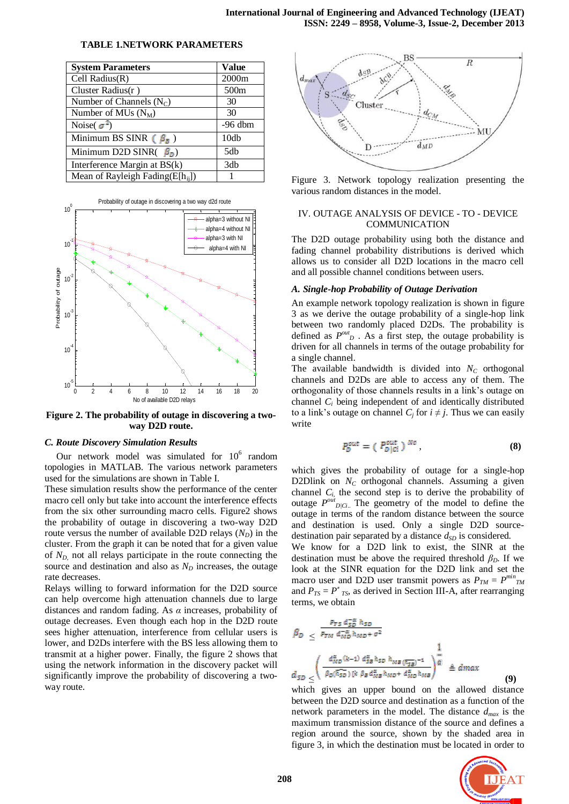| <b>System Parameters</b>              | <b>Value</b>     |
|---------------------------------------|------------------|
| Cell Radius(R)                        | 2000m            |
| Cluster Radius $(r)$                  | 500 <sub>m</sub> |
| Number of Channels $(N_C)$            | 30               |
| Number of MUs $(N_M)$                 | 30               |
| Noise( $\sigma^2$ )                   | $-96$ dbm        |
| Minimum BS SINR ( $\beta_{\bar{B}}$ ) | 10db             |
| Minimum D2D SINR( $\beta_D$ )         | 5db              |
| Interference Margin at BS(k)          | 3db              |
| Mean of Rayleigh Fading $(E[h_{ii}])$ |                  |

# **TABLE 1.NETWORK PARAMETERS**



**Figure 2. The probability of outage in discovering a twoway D2D route.**

# *C. Route Discovery Simulation Results*

Our network model was simulated for  $10^6$  random topologies in MATLAB. The various network parameters used for the simulations are shown in Table I.

These simulation results show the performance of the center macro cell only but take into account the interference effects from the six other surrounding macro cells. Figure2 shows the probability of outage in discovering a two-way D2D route versus the number of available D2D relays  $(N_D)$  in the cluster. From the graph it can be noted that for a given value of *ND*, not all relays participate in the route connecting the source and destination and also as  $N<sub>D</sub>$  increases, the outage rate decreases.

Relays willing to forward information for the D2D source can help overcome high attenuation channels due to large distances and random fading. As *α* increases, probability of outage decreases. Even though each hop in the D2D route sees higher attenuation, interference from cellular users is lower, and D2Ds interfere with the BS less allowing them to transmit at a higher power. Finally, the figure 2 shows that using the network information in the discovery packet will significantly improve the probability of discovering a twoway route.



Figure 3. Network topology realization presenting the various random distances in the model.

# IV. OUTAGE ANALYSIS OF DEVICE - TO - DEVICE **COMMUNICATION**

The D2D outage probability using both the distance and fading channel probability distributions is derived which allows us to consider all D2D locations in the macro cell and all possible channel conditions between users.

## *A. Single-hop Probability of Outage Derivation*

An example network topology realization is shown in figure 3 as we derive the outage probability of a single-hop link between two randomly placed D2Ds. The probability is defined as  $P^{out}_{D}$ . As a first step, the outage probability is driven for all channels in terms of the outage probability for a single channel.

The available bandwidth is divided into  $N_c$  orthogonal channels and D2Ds are able to access any of them. The orthogonality of those channels results in a link's outage on channel *C<sup>i</sup>* being independent of and identically distributed to a link's outage on channel  $C_i$  for  $i \neq j$ . Thus we can easily write

$$
P_D^{out} = (P_{D \mid Ci}^{out})^{Nc} \t\t(8)
$$

which gives the probability of outage for a single-hop D2Dlink on  $N_c$  orthogonal channels. Assuming a given channel  $C_i$ , the second step is to derive the probability of outage  $P^{out}_{D|C_i}$ . The geometry of the model to define the outage in terms of the random distance between the source and destination is used. Only a single D2D sourcedestination pair separated by a distance  $d_{SD}$  is considered.

We know for a D2D link to exist, the SINR at the destination must be above the required threshold  $\beta_D$ . If we look at the SINR equation for the D2D link and set the macro user and D2D user transmit powers as  $P_{TM} = P^{min}_{TM}$ and  $P_{TS} = P^*_{TS}$ , as derived in Section III-A, after rearranging terms, we obtain

$$
\beta_D \leq \frac{P_{TS} d_{SB}^{-\alpha} h_{SD}}{P_{TM} d_{MD}^{-\alpha} h_{MD} + \sigma^2} \frac{1}{d_{SD} \left( \frac{d_{MD}^{\alpha} (k-1) d_{SB}^{\alpha} h_{SD} h_{MB} (\overline{h_{SB}})^{-1}}{\beta_D (\overline{h_{SD}}) [k \beta_B d_{MB}^{\alpha} h_{MD} + d_{MD}^{\alpha} h_{MB}]} \right)^{\frac{1}{\alpha}} \triangleq d_{max}
$$
\n(9)

which gives an upper bound on the allowed distance between the D2D source and destination as a function of the network parameters in the model. The distance *dmax* is the maximum transmission distance of the source and defines a region around the source, shown by the shaded area in figure 3, in which the destination must be located in order to

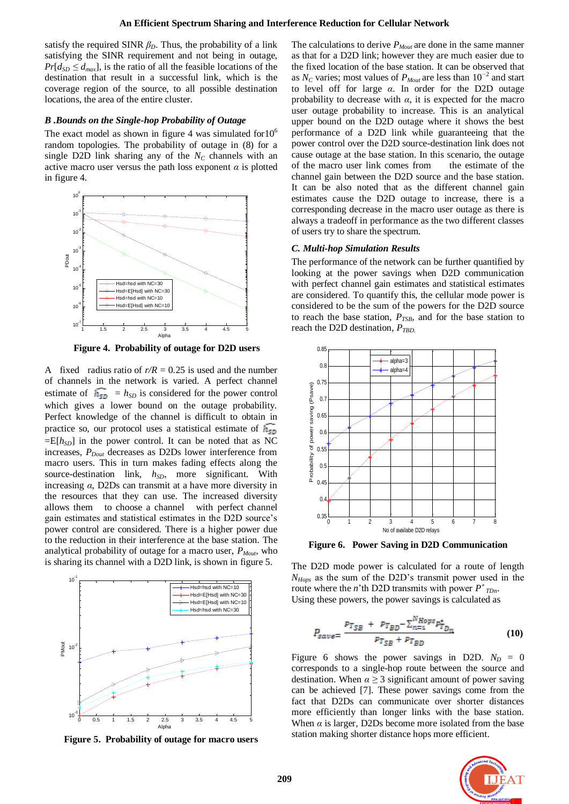satisfy the required SINR  $\beta_D$ . Thus, the probability of a link satisfying the SINR requirement and not being in outage,  $Pr[d_{SD} \le d_{max}]$ , is the ratio of all the feasible locations of the destination that result in a successful link, which is the coverage region of the source, to all possible destination locations, the area of the entire cluster.

# *B .Bounds on the Single-hop Probability of Outage*

The exact model as shown in figure 4 was simulated for  $10^6$ random topologies. The probability of outage in (8) for a single D2D link sharing any of the  $N_c$  channels with an active macro user versus the path loss exponent  $\alpha$  is plotted in figure 4.



 **Figure 4. Probability of outage for D2D users**

A fixed radius ratio of  $r/R = 0.25$  is used and the number of channels in the network is varied. A perfect channel estimate of  $\overline{h_{SD}} = h_{SD}$  is considered for the power control which gives a lower bound on the outage probability. Perfect knowledge of the channel is difficult to obtain in practice so, our protocol uses a statistical estimate of  $\overline{h_{5p}}$  $=$ E[ $h<sub>SD</sub>$ ] in the power control. It can be noted that as NC increases,  $P_{Dout}$  decreases as D2Ds lower interference from macro users. This in turn makes fading effects along the source-destination link,  $h_{SD}$ , more significant. With increasing *α*, D2Ds can transmit at a have more diversity in the resources that they can use. The increased diversity allows them to choose a channel with perfect channel gain estimates and statistical estimates in the D2D source's power control are considered. There is a higher power due to the reduction in their interference at the base station. The analytical probability of outage for a macro user,  $P_{Mout}$ , who is sharing its channel with a D2D link, is shown in figure 5.



**Figure 5. Probability of outage for macro users**

The calculations to derive *PMout* are done in the same manner as that for a D2D link; however they are much easier due to the fixed location of the base station. It can be observed that as *N<sup>C</sup>* varies; most values of *PMout* are less than 10*<sup>−</sup>*<sup>2</sup> and start to level off for large *α*. In order for the D2D outage probability to decrease with  $\alpha$ , it is expected for the macro user outage probability to increase. This is an analytical upper bound on the D2D outage where it shows the best performance of a D2D link while guaranteeing that the power control over the D2D source-destination link does not cause outage at the base station. In this scenario, the outage of the macro user link comes from the estimate of the channel gain between the D2D source and the base station. It can be also noted that as the different channel gain estimates cause the D2D outage to increase, there is a corresponding decrease in the macro user outage as there is always a tradeoff in performance as the two different classes of users try to share the spectrum.

## *C. Multi-hop Simulation Results*

The performance of the network can be further quantified by looking at the power savings when D2D communication with perfect channel gain estimates and statistical estimates are considered. To quantify this, the cellular mode power is considered to be the sum of the powers for the D2D source to reach the base station,  $P_{TSB}$ , and for the base station to reach the D2D destination, *PTBD*.



 **Figure 6. Power Saving in D2D Communication**

The D2D mode power is calculated for a route of length *NHops* as the sum of the D2D's transmit power used in the route where the *n*'th D2D transmits with power  $P^*_{IDn}$ . Using these powers, the power savings is calculated as

$$
P_{save} = \frac{p_{T_{SB}} + p_{T_{BD}} - \sum_{n=4}^{N Hops} p_{T_{Dn}}^*}{p_{T_{SR}} + p_{T_{RD}}}
$$
(10)

Figure 6 shows the power savings in D2D.  $N_D = 0$ corresponds to a single-hop route between the source and destination. When  $\alpha \geq 3$  significant amount of power saving can be achieved [7]. These power savings come from the fact that D2Ds can communicate over shorter distances more efficiently than longer links with the base station. When  $\alpha$  is larger, D2Ds become more isolated from the base station making shorter distance hops more efficient.